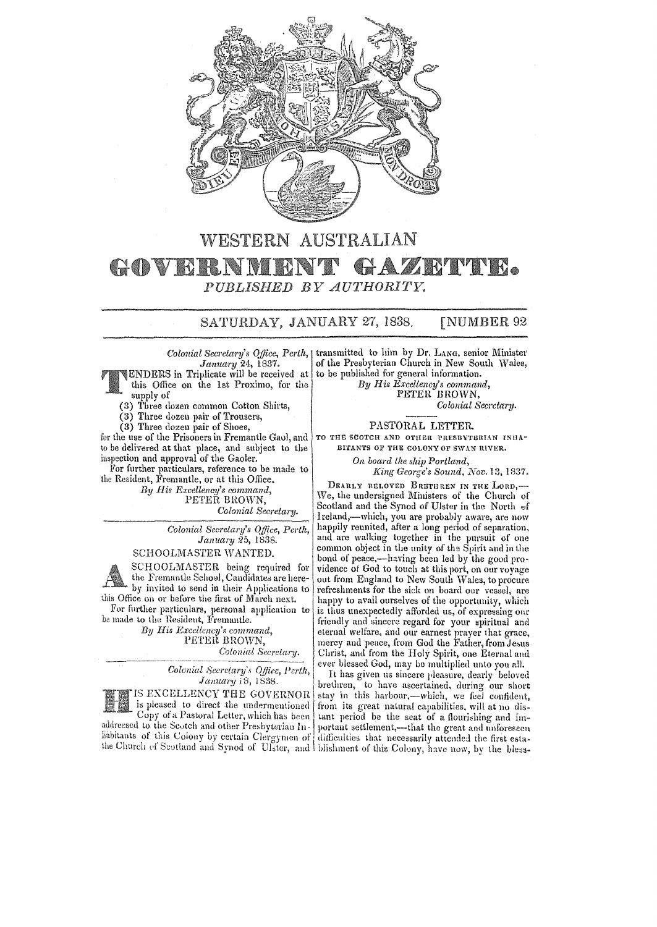

## WESTERN AUSTRALIAN GAZRTTTE. GOVE K.NM Ю PUBLISHED BY AUTHORITY.

SATURDAY, JANUARY 27, 1838. **[NUMBER 92** 

Colonial Secretary's Office, Perth, |  $January$  24, 1837.<br>ENDERS in Triplicate will be received at this Office on the 1st Proximo, for the

Letter supply of<br>
(3) Three dozen common Cotton Shirts,

- 
- (3) Three dozen pair of Trousers,

(3) Three dozen pair of Shoes,

for the use of the Prisoners in Fremantle Gaol, and to be delivered at that place, and subject to the inspection and approval of the Gaoler.

For further particulars, reference to be made to the Resident, Fremantle, or at this Office.

By His Excellency's command, PETER BROWN, Colonial Secretary.

> Colonial Secretary's Office, Perth, January 25, 1838.

SCHOOLMASTER WANTED.

SCHOOLMASTER being required for the Fremantle School, Candidates are hereby invited to send in their Applications to this Office on or before the first of March next. For further particulars, personal application to

be made to the Resident, Fremantle. By His Excellency's command. PETER BROWN, Colonial Secretary.

> Colonial Secretary's Office, Perth, January 18, 1838.

IS EXCELLENCY THE GOVERNOR is pleased to direct the undermentioned Copy of a Pastoral Letter, which has been addressed to the Scotch and other Presbyterian Inhabitants of this Colony by certain Clergymen of

transmitted to him by Dr. LANG, senior Minister of the Presbyterian Church in New South Wales, to be published for general information. By His Excellency's command,

PETER BROWN, Colonial Secretary.

## PASTORAL LETTER.

TO THE SCOTCH AND OTHER PRESBYTERIAN INHA-BITANTS OF THE COLONY OF SWAN RIVER.

On board the ship Portland,

King George's Sound, Nov. 13, 1837.

DEARLY RELOVED BRETHREN IN THE LORD. We, the undersigned Ministers of the Church of Scotland and the Synod of Ulster in the North of Ireland,-which, you are probably aware, are now happily reunited, after a long period of separation, and are walking together in the pursuit of one common object in the unity of the Spirit and in the bond of peace,—having been led by the good providence of God to touch at this port, on our voyage out from England to New South Wales, to procure refreshments for the sick on board our vessel, are happy to avail ourselves of the opportunity, which is thus unexpectedly afforded us, of expressing our friendly and sincere regard for your spiritual and eternal welfare, and our earnest prayer that grace, mercy and peace, from God the Father, from Jesus Christ, and from the Holy Spirit, one Eternal and ever blessed God, may be multiplied unto you all.

It has given us sincere pleasure, dearly beloved brethren, to have ascertained, during our short stay in this harbour,-which, we feel confident. from its great natural capabilities, will at no distant period be the seat of a flourishing and important settlement,—that the great and unforeseen difficulties that necessarily attended the first estathe Church of Scotland and Synod of Ulster, and I blishment of this Colony, have now, by the bless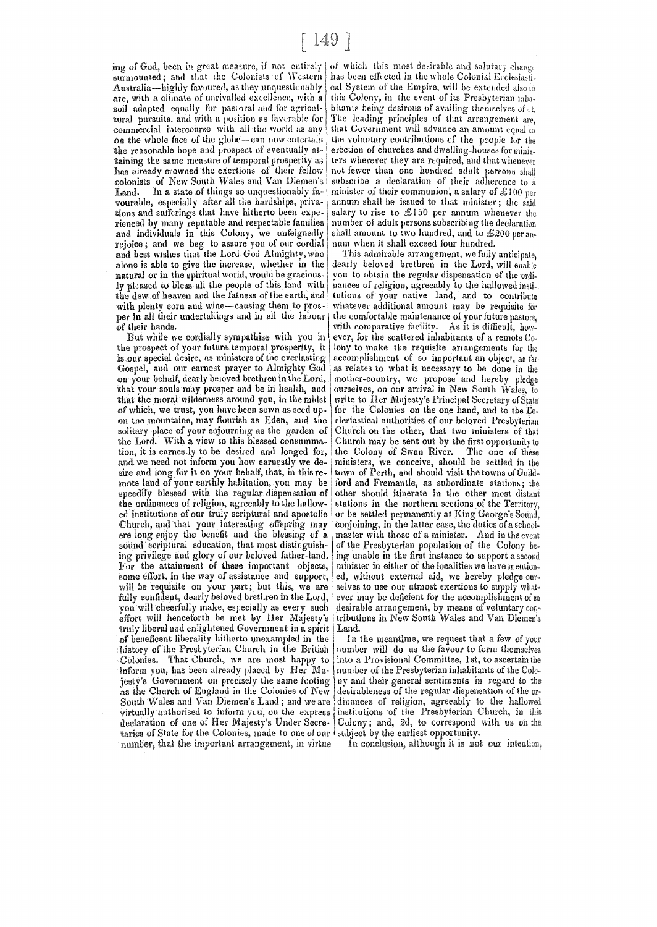surmounted; and that the Colonists of Western Australia—highly favoured, as they unquestionably are, with a climate of unrivalled excellence, with a soil adapted equally for pastoral and for agricultural pursuits, and with a position as favorable for commercial intercourse with all the world as any on the whole face of the globe-can now entertain the reasonable hope and prospect of eventually attaining the same measure of temporal prosperity as has already crowned the exertions of their fellow colonists of New South Wales and Van Diemen's In a state of things so unquestionably fa-Land. vourable, especially after all the hardships, privations and sufferings that have hitherto been experienced by many reputable and respectable families and individuals in this Colony, we unfeignedly rejoice; and we beg to assure you of our cordial and best wishes that the Lord God Almighty, who alone is able to give the increase, whether in the natural or in the spiritual world, would be graciously pleased to bless all the people of this land with the dew of heaven and the fatness of the earth, and with plenty corn and wine-causing them to prosper in all their undertakings and in all the labour of their hands.

But while we cordially sympathise with you in the prospect of your future temporal prosperity, it is our special desire, as ministers of the everlasting Gospel, and our earnest prayer to Almighty God on your behalf, dearly beloved brethren in the Lord, that your souls may prosper and be in health, and that the moral wilderness around you, in the midst of which, we trust, you have been sown as seed upon the mountains, may flourish as Eden, and the solitary place of your sojourning as the garden of the Lord. With a view to this blessed consummation, it is earnestly to be desired and longed for, and we need not inform you how earnestly we desire and long for it on your behalf, that, in this remote land of your earthly habitation, you may be speedily blessed with the regular dispensation of the ordinances of religion, agreeably to the hallowed institutions of our truly scriptural and apostolic Church, and that your interesting offspring may ere long enjoy the benefit and the blessing of a sound scriptural education, that most distinguishing privilege and glory of our beloved father-land. For the attainment of these important objects, some effort, in the way of assistance and support, will be requisite on your part; but this, we are fully confident, dearly beloved bretl.ren in the Lord. you will cheerfully make, especially as every such effort will henceforth be met by Her Majesty's truly liberal and enlightened Government in a spirit of beneficent liberality hitherto unexampled in the history of the Prestyterian Church in the British<br>Colonies. That Church, we are most happy to inform vou, has been already placed by Her Majesty's Government on precisely the same footing<br>as the Church of England in the Colonies of New South Wales and Van Diemen's Land; and we are virtually authorised to inform you, ou the express declaration of one of Her Majesty's Under Secretaries of State for the Colonies, made to one of our l number, that the important arrangement, in virtue

ing of God, been in great measure, if not entirely of which this most desirable and salutary change has been effected in the whole Colonial Ecclesiasti. cal System of the Empire, will be extended also to this Colony, in the event of its Presbyterian inhabitants being desirous of availing themselves of it. The leading principles of that arrangement are. that Government will advance an amount equal to the voluntary contributions of the people for the erection of churches and dwelling-houses for ministers wherever they are required, and that whenever not fewer than one hundred adult persons shall subscribe a declaration of their adherence to a minister of their communion, a salary of  $£100$  per annum shall be issued to that minister; the said salary to rise to £150 per annum whenever the number of adult persons subscribing the declaration shall amount to two hundred, and to £200 per annum when it shall exceed four hundred.

This admirable arrangement, we fully anticipate. dearly beloved brethren in the Lord, will enable you to obtain the regular dispensation of the ordinances of religion, agreeably to the hallowed institutions of your native land, and to contribute whatever additional amount may be requisite for the comfortable maintenance of your future pastors, with comparative facility. As it is difficult, however, for the scattered inhabitants of a remote  $C_{0-}$ lony to make the requisite arrangements for the accomplishment of so important an object, as far as relates to what is necessary to be done in the mother-country, we propose and hereby pledge ourselves, on our arrival in New South Wales, to write to Her Majesty's Principal Secretary of State for the Colonies on the one hand, and to the Ecclesiastical authorities of our beloved Presbyterian Church on the other, that two ministers of that Church may be sent out by the first opportunity to The one of these the Colony of Swan River. ministers, we conceive, should be settled in the town of Perth, and should visit the towns of Guildford and Fremantle, as subordinate stations; the other should itinerate in the other most distant stations in the northern sections of the Territory, or be settled permanently at King George's Sound, conjoining, in the latter case, the duties of a schoolmaster with those of a minister. And in the event of the Presbyterian population of the Colony being unable in the first instance to support a second minister in either of the localities we have mentioned, without external aid, we hereby pledge ourselves to use our utmost exertions to supply whatever may be deficient for the accomplishment of so desirable arrangement, by means of voluntary contributions in New South Wales and Van Diemen's Land.

In the meantime, we request that a few of your number will do us the favour to form themselves into a Provisional Committee, 1st, to ascertain the number of the Presbyterian inhabitants of the Colony and their general sentiments in regard to the desirableness of the regular dispensation of the ordinances of religion, agreeably to the hallowed institutions of the Presbyterian Church, in this Colony; and, 2d, to correspond with us on the subject by the earliest opportunity.

In conclusion, although it is not our intention,